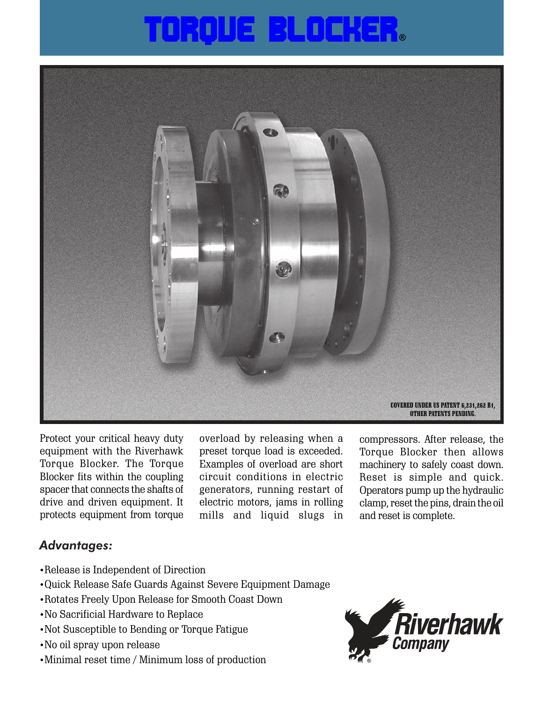## O 300 D 200 300 H 300 300



Protect your critical heavy duty equipment with the Riverhawk Torque Blocker. The Torque Blocker fits within the coupling spacer that connects the shafts of drive and driven equipment. It protects equipment from torque overload by releasing when a preset torque load is exceeded. Examples of overload are short circuit conditions in electric generators, running restart of electric motors, jams in rolling mills and liquid slugs in compressors. After release, the Torque Blocker then allows machinery to safely coast down. Reset is simple and quick. Operators pump up the hydraulic clamp, reset the pins, drain the oil and reset is complete.

## *Advantages:*

- •Release is Independent of Direction
- •Quick Release Safe Guards Against Severe Equipment Damage
- •Rotates Freely Upon Release for Smooth Coast Down
- •No Sacrificial Hardware to Replace
- •Not Susceptible to Bending or Torque Fatigue
- •No oil spray upon release
- •Minimal reset time / Minimum loss of production